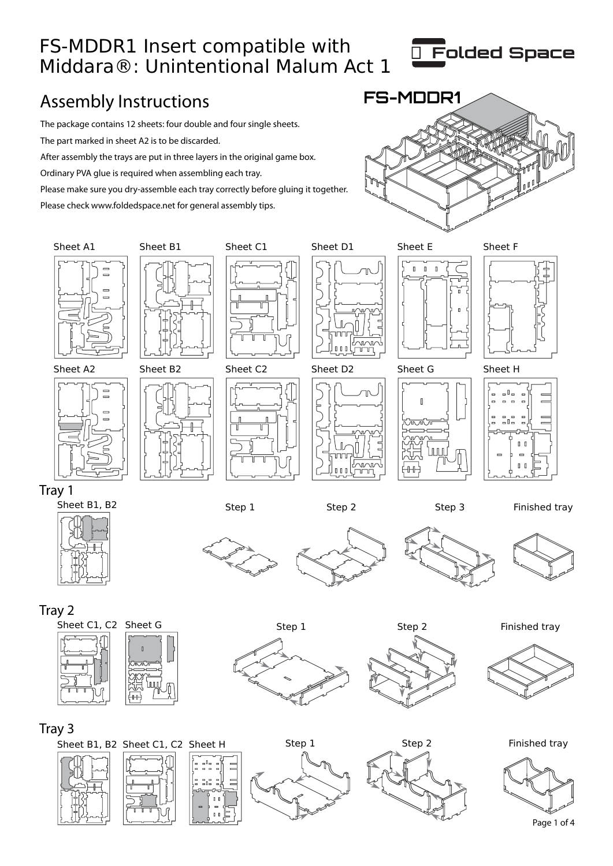### FS-MDDR1 Insert compatible with Middara®: Unintentional Malum Act 1



### Assembly Instructions **FS-MDDR1**

The package contains 12 sheets: four double and four single sheets. The part marked in sheet A2 is to be discarded.

After assembly the trays are put in three layers in the original game box.

Ordinary PVA glue is required when assembling each tray.

Please make sure you dry-assemble each tray correctly before gluing it together.

Please check www.foldedspace.net for general assembly tips.



#### Tray 3



Page 1 of 4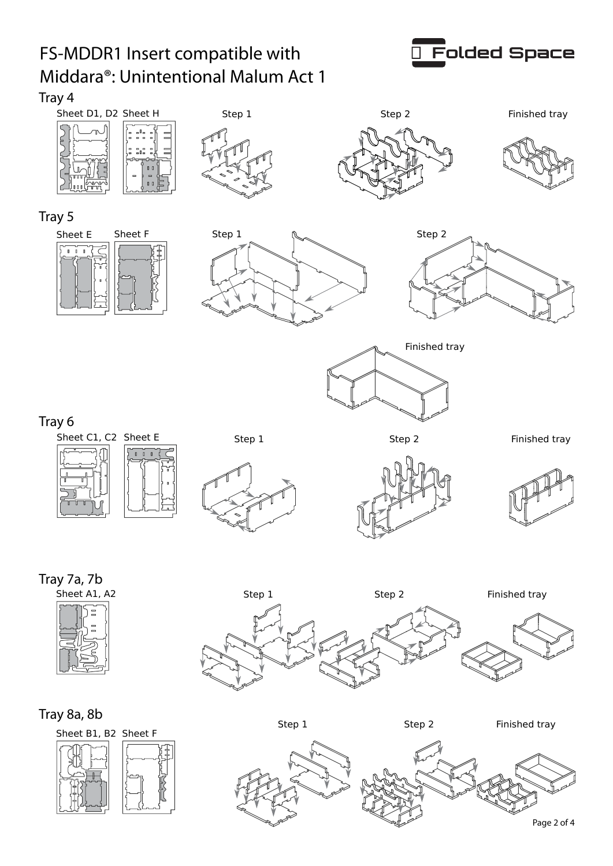# FS-MDDR1 Insert compatible with Middara®: Unintentional Malum Act 1



Tray 4



#### Tray 8a, 8b





Step 1 Step 2 Finished tray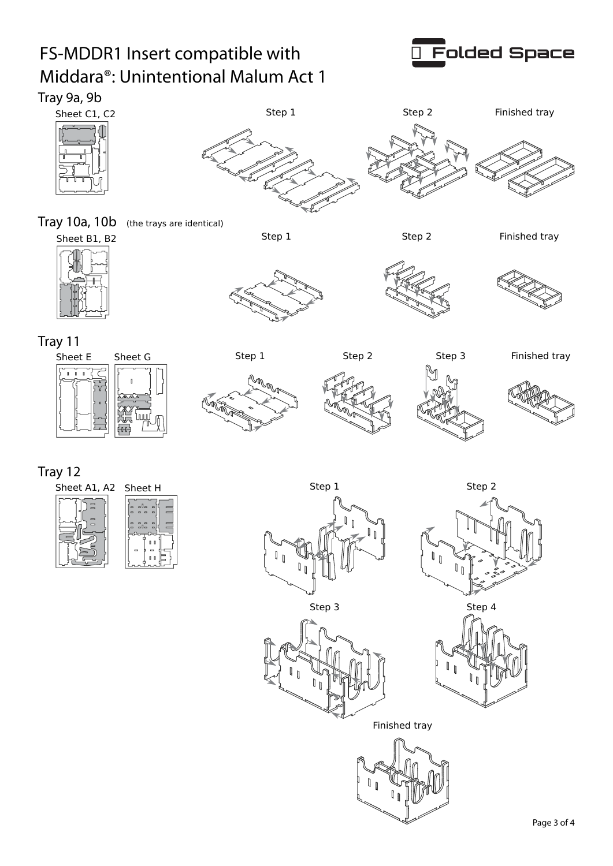